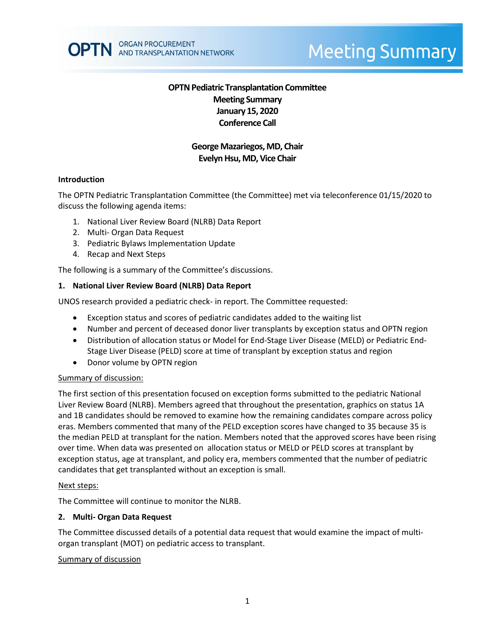# **OPTN Pediatric Transplantation Committee Meeting Summary January 15, 2020 Conference Call**

# **George Mazariegos, MD, Chair Evelyn Hsu, MD, Vice Chair**

#### **Introduction**

The OPTN Pediatric Transplantation Committee (the Committee) met via teleconference 01/15/2020 to discuss the following agenda items:

- 1. National Liver Review Board (NLRB) Data Report
- 2. Multi- Organ Data Request
- 3. Pediatric Bylaws Implementation Update
- 4. Recap and Next Steps

The following is a summary of the Committee's discussions.

## **1. National Liver Review Board (NLRB) Data Report**

UNOS research provided a pediatric check- in report. The Committee requested:

- Exception status and scores of pediatric candidates added to the waiting list
- Number and percent of deceased donor liver transplants by exception status and OPTN region
- Distribution of allocation status or Model for End-Stage Liver Disease (MELD) or Pediatric End-Stage Liver Disease (PELD) score at time of transplant by exception status and region
- Donor volume by OPTN region

#### Summary of discussion:

The first section of this presentation focused on exception forms submitted to the pediatric National Liver Review Board (NLRB). Members agreed that throughout the presentation, graphics on status 1A and 1B candidates should be removed to examine how the remaining candidates compare across policy eras. Members commented that many of the PELD exception scores have changed to 35 because 35 is the median PELD at transplant for the nation. Members noted that the approved scores have been rising over time. When data was presented on allocation status or MELD or PELD scores at transplant by exception status, age at transplant, and policy era, members commented that the number of pediatric candidates that get transplanted without an exception is small.

#### Next steps:

The Committee will continue to monitor the NLRB.

#### **2. Multi- Organ Data Request**

The Committee discussed details of a potential data request that would examine the impact of multiorgan transplant (MOT) on pediatric access to transplant.

#### Summary of discussion